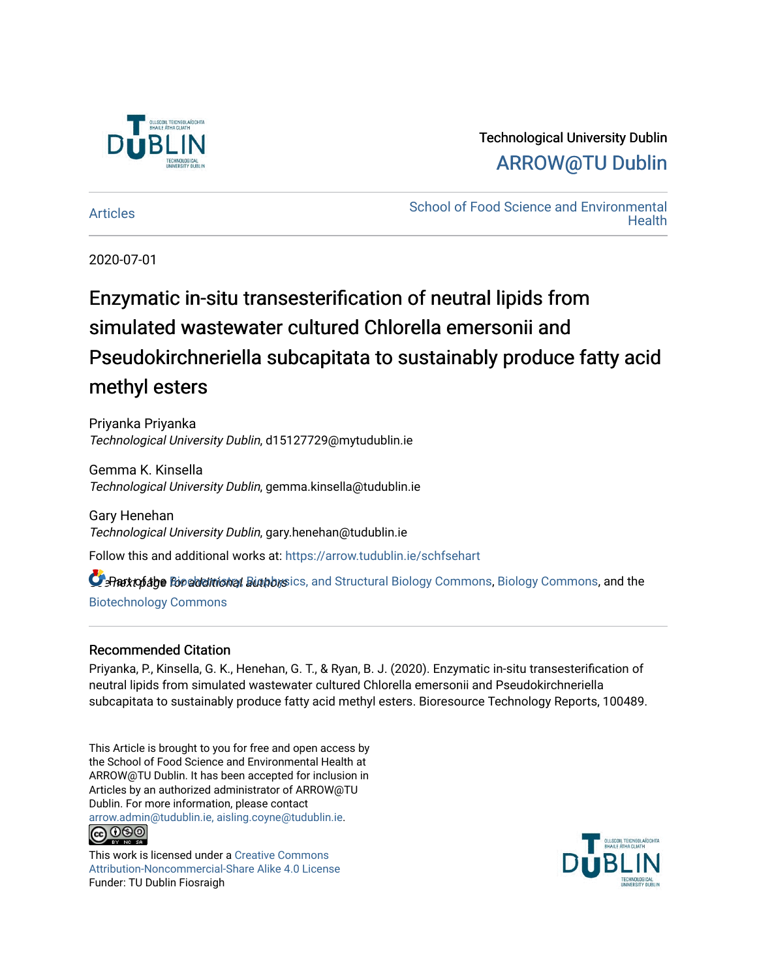

# Technological University Dublin [ARROW@TU Dublin](https://arrow.tudublin.ie/)

[Articles](https://arrow.tudublin.ie/schfsehart) **School of Food Science and Environmental Health** 

2020-07-01

# Enzymatic in-situ transesterification of neutral lipids from simulated wastewater cultured Chlorella emersonii and Pseudokirchneriella subcapitata to sustainably produce fatty acid methyl esters

Priyanka Priyanka Technological University Dublin, d15127729@mytudublin.ie

Gemma K. Kinsella Technological University Dublin, gemma.kinsella@tudublin.ie

Gary Henehan Technological University Dublin, gary.henehan@tudublin.ie

Follow this and additional works at: [https://arrow.tudublin.ie/schfsehart](https://arrow.tudublin.ie/schfsehart?utm_source=arrow.tudublin.ie%2Fschfsehart%2F367&utm_medium=PDF&utm_campaign=PDFCoverPages) 

**C** Rattofabe For additional Biophysics, and Structural [Biology Commons,](http://network.bepress.com/hgg/discipline/41?utm_source=arrow.tudublin.ie%2Fschfsehart%2F367&utm_medium=PDF&utm_campaign=PDFCoverPages) Biology Commons, and the [Biotechnology Commons](http://network.bepress.com/hgg/discipline/111?utm_source=arrow.tudublin.ie%2Fschfsehart%2F367&utm_medium=PDF&utm_campaign=PDFCoverPages) 

### Recommended Citation

Priyanka, P., Kinsella, G. K., Henehan, G. T., & Ryan, B. J. (2020). Enzymatic in-situ transesterification of neutral lipids from simulated wastewater cultured Chlorella emersonii and Pseudokirchneriella subcapitata to sustainably produce fatty acid methyl esters. Bioresource Technology Reports, 100489.

This Article is brought to you for free and open access by the School of Food Science and Environmental Health at ARROW@TU Dublin. It has been accepted for inclusion in Articles by an authorized administrator of ARROW@TU Dublin. For more information, please contact [arrow.admin@tudublin.ie, aisling.coyne@tudublin.ie](mailto:arrow.admin@tudublin.ie,%20aisling.coyne@tudublin.ie). **@@@** 

This work is licensed under a [Creative Commons](http://creativecommons.org/licenses/by-nc-sa/4.0/) [Attribution-Noncommercial-Share Alike 4.0 License](http://creativecommons.org/licenses/by-nc-sa/4.0/) Funder: TU Dublin Fiosraigh

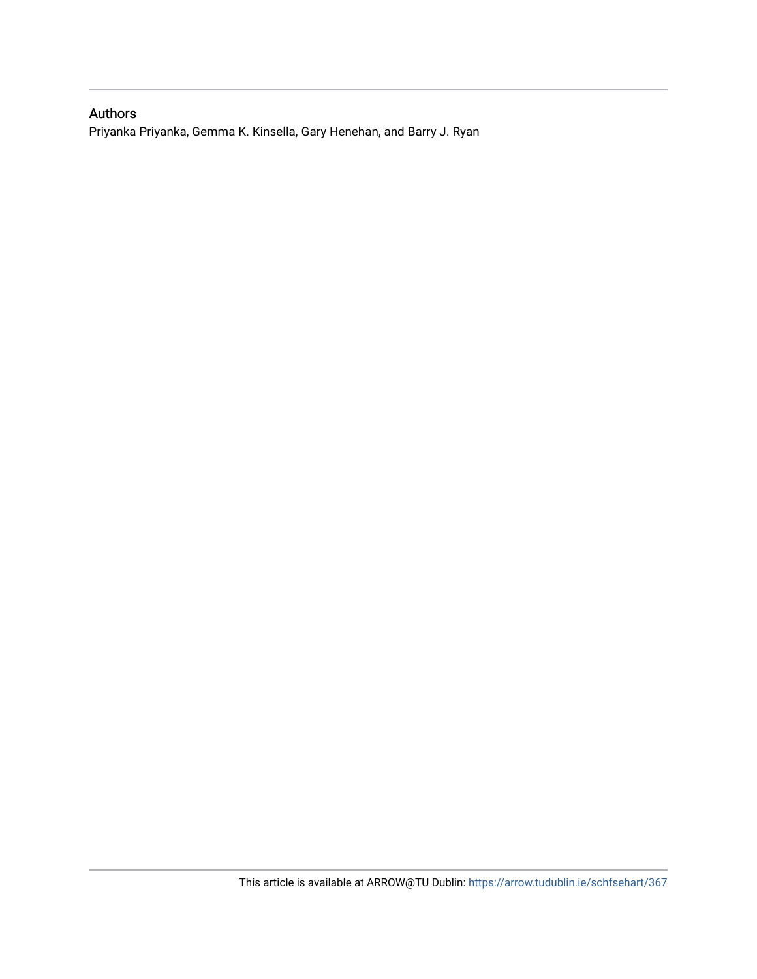## Authors

Priyanka Priyanka, Gemma K. Kinsella, Gary Henehan, and Barry J. Ryan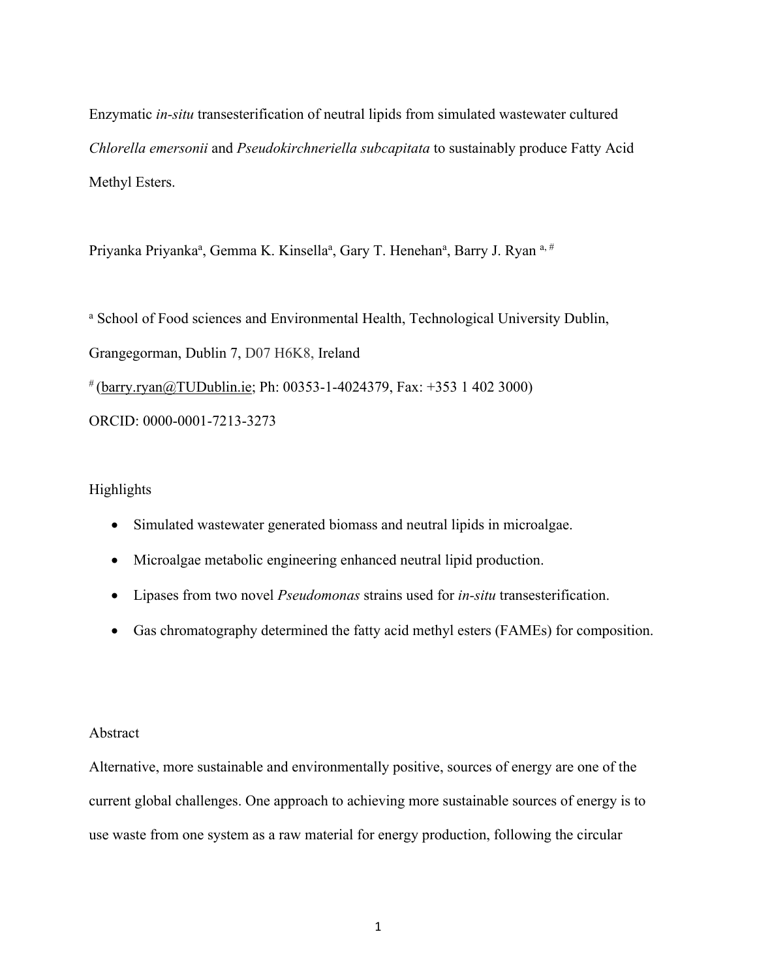Enzymatic *in-situ* transesterification of neutral lipids from simulated wastewater cultured *Chlorella emersonii* and *Pseudokirchneriella subcapitata* to sustainably produce Fatty Acid Methyl Esters.

Priyanka Priyanka<sup>a</sup>, Gemma K. Kinsella<sup>a</sup>, Gary T. Henehan<sup>a</sup>, Barry J. Ryan <sup>a, #</sup>

<sup>a</sup> School of Food sciences and Environmental Health, Technological University Dublin, Grangegorman, Dublin 7, D07 H6K8, Ireland  $*(\frac{\text{barry.ryan}(a) \text{TUDublin.ie}}{P}$ ; Ph: 00353-1-4024379, Fax: +353 1 402 3000) ORCID: 0000-0001-7213-3273

#### Highlights

- Simulated wastewater generated biomass and neutral lipids in microalgae.
- Microalgae metabolic engineering enhanced neutral lipid production.
- Lipases from two novel *Pseudomonas* strains used for *in-situ* transesterification.
- Gas chromatography determined the fatty acid methyl esters (FAMEs) for composition.

#### Abstract

Alternative, more sustainable and environmentally positive, sources of energy are one of the current global challenges. One approach to achieving more sustainable sources of energy is to use waste from one system as a raw material for energy production, following the circular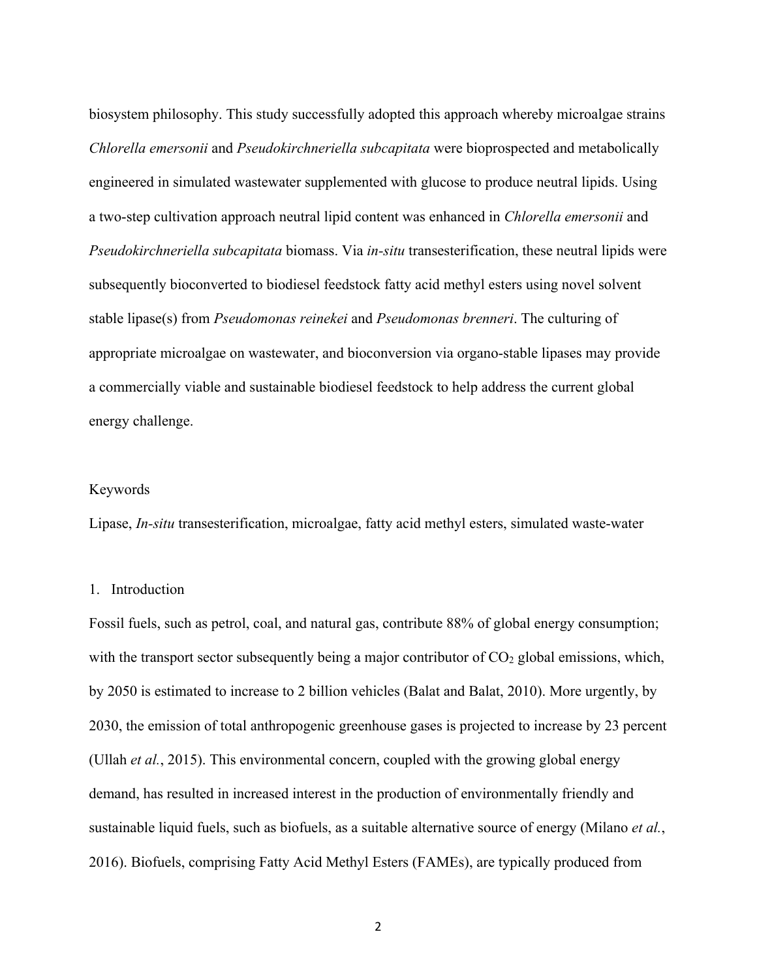biosystem philosophy. This study successfully adopted this approach whereby microalgae strains *Chlorella emersonii* and *Pseudokirchneriella subcapitata* were bioprospected and metabolically engineered in simulated wastewater supplemented with glucose to produce neutral lipids. Using a two-step cultivation approach neutral lipid content was enhanced in *Chlorella emersonii* and *Pseudokirchneriella subcapitata* biomass. Via *in-situ* transesterification, these neutral lipids were subsequently bioconverted to biodiesel feedstock fatty acid methyl esters using novel solvent stable lipase(s) from *Pseudomonas reinekei* and *Pseudomonas brenneri*. The culturing of appropriate microalgae on wastewater, and bioconversion via organo-stable lipases may provide a commercially viable and sustainable biodiesel feedstock to help address the current global energy challenge.

#### Keywords

Lipase, *In-situ* transesterification, microalgae, fatty acid methyl esters, simulated waste-water

#### 1. Introduction

Fossil fuels, such as petrol, coal, and natural gas, contribute 88% of global energy consumption; with the transport sector subsequently being a major contributor of  $CO<sub>2</sub>$  global emissions, which, by 2050 is estimated to increase to 2 billion vehicles (Balat and Balat, 2010). More urgently, by 2030, the emission of total anthropogenic greenhouse gases is projected to increase by 23 percent (Ullah *et al.*, 2015). This environmental concern, coupled with the growing global energy demand, has resulted in increased interest in the production of environmentally friendly and sustainable liquid fuels, such as biofuels, as a suitable alternative source of energy (Milano *et al.*, 2016). Biofuels, comprising Fatty Acid Methyl Esters (FAMEs), are typically produced from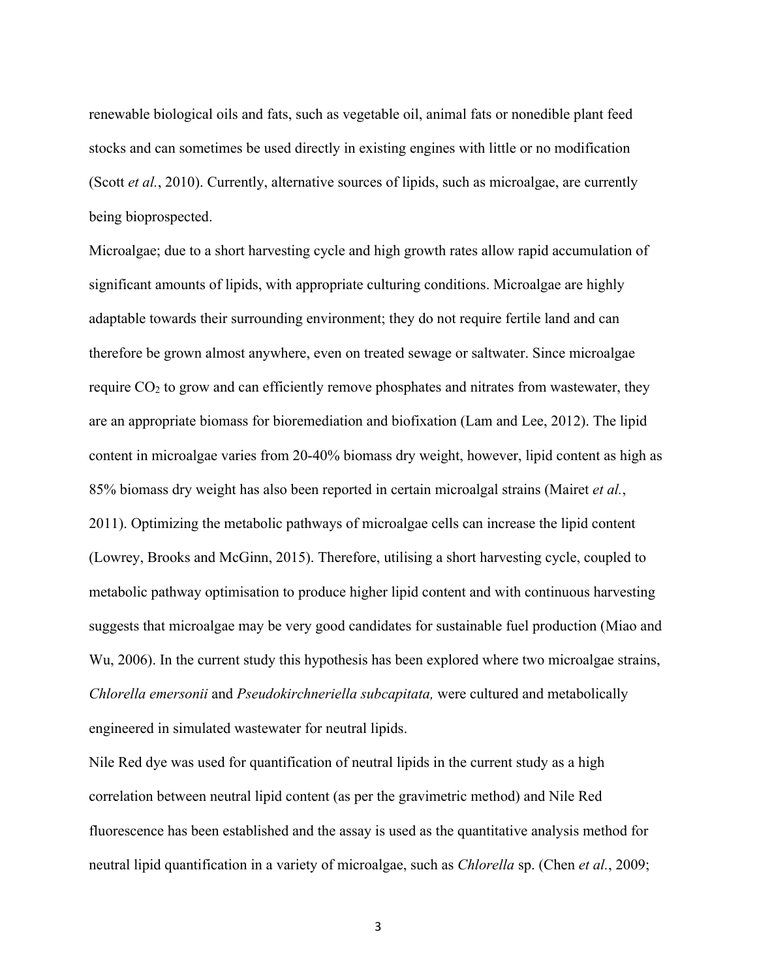renewable biological oils and fats, such as vegetable oil, animal fats or nonedible plant feed stocks and can sometimes be used directly in existing engines with little or no modification (Scott *et al.*, 2010). Currently, alternative sources of lipids, such as microalgae, are currently being bioprospected.

Microalgae; due to a short harvesting cycle and high growth rates allow rapid accumulation of significant amounts of lipids, with appropriate culturing conditions. Microalgae are highly adaptable towards their surrounding environment; they do not require fertile land and can therefore be grown almost anywhere, even on treated sewage or saltwater. Since microalgae require  $CO<sub>2</sub>$  to grow and can efficiently remove phosphates and nitrates from wastewater, they are an appropriate biomass for bioremediation and biofixation (Lam and Lee, 2012). The lipid content in microalgae varies from 20-40% biomass dry weight, however, lipid content as high as 85% biomass dry weight has also been reported in certain microalgal strains (Mairet *et al.*, 2011). Optimizing the metabolic pathways of microalgae cells can increase the lipid content (Lowrey, Brooks and McGinn, 2015). Therefore, utilising a short harvesting cycle, coupled to metabolic pathway optimisation to produce higher lipid content and with continuous harvesting suggests that microalgae may be very good candidates for sustainable fuel production (Miao and Wu, 2006). In the current study this hypothesis has been explored where two microalgae strains, *Chlorella emersonii* and *Pseudokirchneriella subcapitata,* were cultured and metabolically engineered in simulated wastewater for neutral lipids.

Nile Red dye was used for quantification of neutral lipids in the current study as a high correlation between neutral lipid content (as per the gravimetric method) and Nile Red fluorescence has been established and the assay is used as the quantitative analysis method for neutral lipid quantification in a variety of microalgae, such as *Chlorella* sp. (Chen *et al.*, 2009;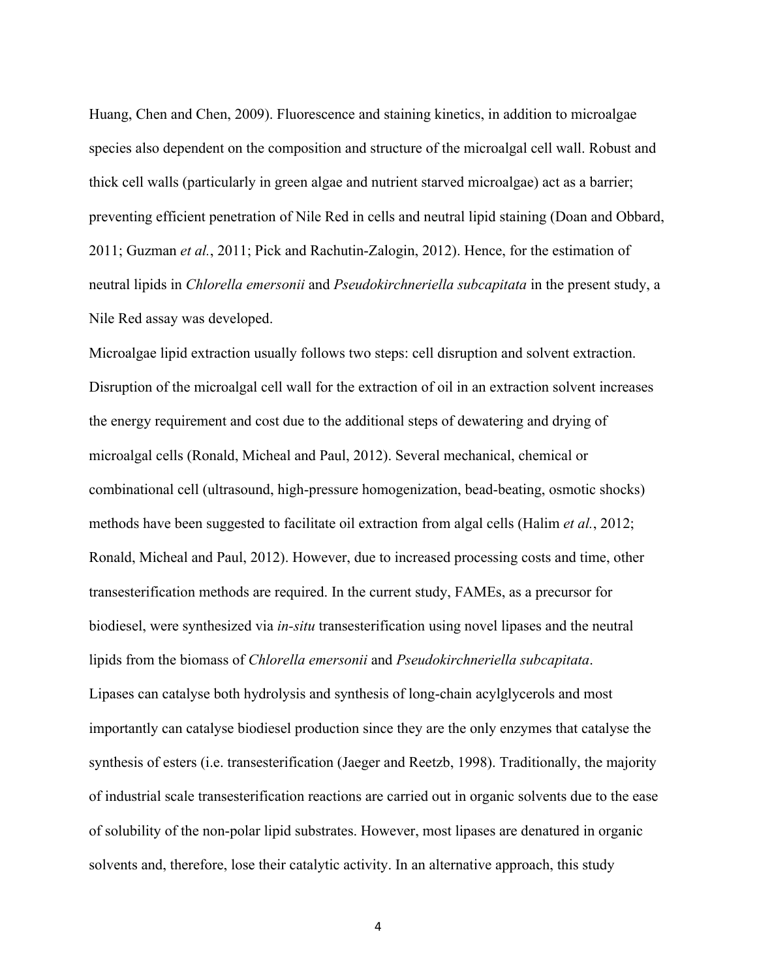Huang, Chen and Chen, 2009). Fluorescence and staining kinetics, in addition to microalgae species also dependent on the composition and structure of the microalgal cell wall. Robust and thick cell walls (particularly in green algae and nutrient starved microalgae) act as a barrier; preventing efficient penetration of Nile Red in cells and neutral lipid staining (Doan and Obbard, 2011; Guzman *et al.*, 2011; Pick and Rachutin-Zalogin, 2012). Hence, for the estimation of neutral lipids in *Chlorella emersonii* and *Pseudokirchneriella subcapitata* in the present study, a Nile Red assay was developed.

Microalgae lipid extraction usually follows two steps: cell disruption and solvent extraction. Disruption of the microalgal cell wall for the extraction of oil in an extraction solvent increases the energy requirement and cost due to the additional steps of dewatering and drying of microalgal cells (Ronald, Micheal and Paul, 2012). Several mechanical, chemical or combinational cell (ultrasound, high-pressure homogenization, bead-beating, osmotic shocks) methods have been suggested to facilitate oil extraction from algal cells (Halim *et al.*, 2012; Ronald, Micheal and Paul, 2012). However, due to increased processing costs and time, other transesterification methods are required. In the current study, FAMEs, as a precursor for biodiesel, were synthesized via *in-situ* transesterification using novel lipases and the neutral lipids from the biomass of *Chlorella emersonii* and *Pseudokirchneriella subcapitata*. Lipases can catalyse both hydrolysis and synthesis of long-chain acylglycerols and most importantly can catalyse biodiesel production since they are the only enzymes that catalyse the synthesis of esters (i.e. transesterification (Jaeger and Reetzb, 1998). Traditionally, the majority of industrial scale transesterification reactions are carried out in organic solvents due to the ease of solubility of the non-polar lipid substrates. However, most lipases are denatured in organic solvents and, therefore, lose their catalytic activity. In an alternative approach, this study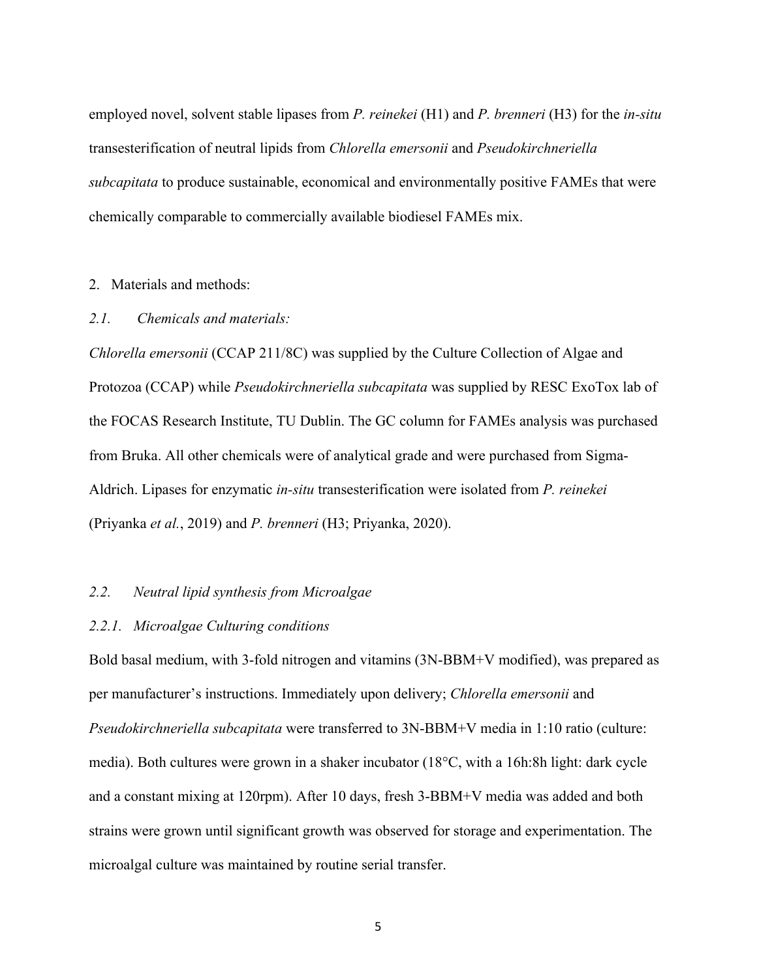employed novel, solvent stable lipases from *P. reinekei* (H1) and *P. brenneri* (H3) for the *in-situ* transesterification of neutral lipids from *Chlorella emersonii* and *Pseudokirchneriella subcapitata* to produce sustainable, economical and environmentally positive FAMEs that were chemically comparable to commercially available biodiesel FAMEs mix.

#### 2. Materials and methods:

#### *2.1. Chemicals and materials:*

*Chlorella emersonii* (CCAP 211/8C) was supplied by the Culture Collection of Algae and Protozoa (CCAP) while *Pseudokirchneriella subcapitata* was supplied by RESC ExoTox lab of the FOCAS Research Institute, TU Dublin. The GC column for FAMEs analysis was purchased from Bruka. All other chemicals were of analytical grade and were purchased from Sigma-Aldrich. Lipases for enzymatic *in-situ* transesterification were isolated from *P. reinekei* (Priyanka *et al.*, 2019) and *P. brenneri* (H3; Priyanka, 2020).

#### *2.2. Neutral lipid synthesis from Microalgae*

#### *2.2.1. Microalgae Culturing conditions*

Bold basal medium, with 3-fold nitrogen and vitamins (3N-BBM+V modified), was prepared as per manufacturer's instructions. Immediately upon delivery; *Chlorella emersonii* and *Pseudokirchneriella subcapitata* were transferred to 3N-BBM+V media in 1:10 ratio (culture: media). Both cultures were grown in a shaker incubator (18°C, with a 16h:8h light: dark cycle and a constant mixing at 120rpm). After 10 days, fresh 3-BBM+V media was added and both strains were grown until significant growth was observed for storage and experimentation. The microalgal culture was maintained by routine serial transfer.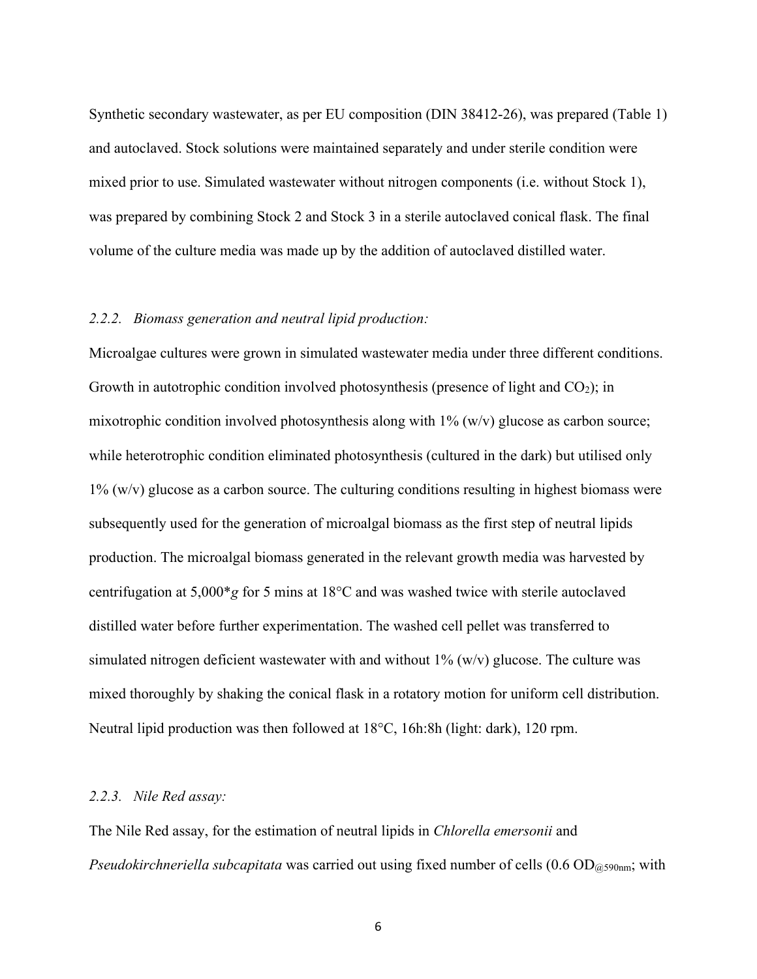Synthetic secondary wastewater, as per EU composition (DIN 38412-26), was prepared (Table 1) and autoclaved. Stock solutions were maintained separately and under sterile condition were mixed prior to use. Simulated wastewater without nitrogen components (i.e. without Stock 1), was prepared by combining Stock 2 and Stock 3 in a sterile autoclaved conical flask. The final volume of the culture media was made up by the addition of autoclaved distilled water.

#### *2.2.2. Biomass generation and neutral lipid production:*

Microalgae cultures were grown in simulated wastewater media under three different conditions. Growth in autotrophic condition involved photosynthesis (presence of light and  $CO<sub>2</sub>$ ); in mixotrophic condition involved photosynthesis along with 1% (w/v) glucose as carbon source; while heterotrophic condition eliminated photosynthesis (cultured in the dark) but utilised only  $1\%$  (w/v) glucose as a carbon source. The culturing conditions resulting in highest biomass were subsequently used for the generation of microalgal biomass as the first step of neutral lipids production. The microalgal biomass generated in the relevant growth media was harvested by centrifugation at 5,000\**g* for 5 mins at 18°C and was washed twice with sterile autoclaved distilled water before further experimentation. The washed cell pellet was transferred to simulated nitrogen deficient wastewater with and without  $1\%$  (w/v) glucose. The culture was mixed thoroughly by shaking the conical flask in a rotatory motion for uniform cell distribution. Neutral lipid production was then followed at 18°C, 16h:8h (light: dark), 120 rpm.

#### *2.2.3. Nile Red assay:*

The Nile Red assay, for the estimation of neutral lipids in *Chlorella emersonii* and *Pseudokirchneriella subcapitata* was carried out using fixed number of cells (0.6 OD<sub>@590nm</sub>; with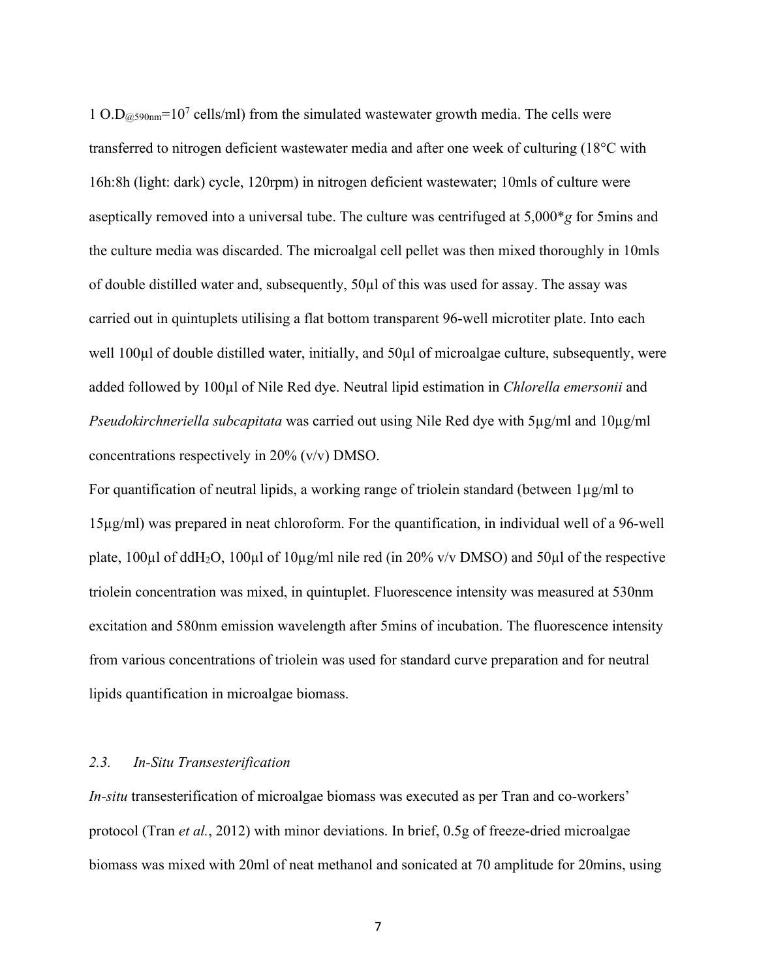1 O.D $_{@590nm}$ =10<sup>7</sup> cells/ml) from the simulated wastewater growth media. The cells were transferred to nitrogen deficient wastewater media and after one week of culturing (18°C with 16h:8h (light: dark) cycle, 120rpm) in nitrogen deficient wastewater; 10mls of culture were aseptically removed into a universal tube. The culture was centrifuged at 5,000\**g* for 5mins and the culture media was discarded. The microalgal cell pellet was then mixed thoroughly in 10mls of double distilled water and, subsequently, 50µl of this was used for assay. The assay was carried out in quintuplets utilising a flat bottom transparent 96-well microtiter plate. Into each well 100µl of double distilled water, initially, and 50µl of microalgae culture, subsequently, were added followed by 100µl of Nile Red dye. Neutral lipid estimation in *Chlorella emersonii* and *Pseudokirchneriella subcapitata* was carried out using Nile Red dye with 5µg/ml and 10µg/ml concentrations respectively in 20% (v/v) DMSO.

For quantification of neutral lipids, a working range of triolein standard (between 1µg/ml to 15µg/ml) was prepared in neat chloroform. For the quantification, in individual well of a 96-well plate,  $100\mu$ l of ddH<sub>2</sub>O,  $100\mu$ l of  $10\mu$ g/ml nile red (in 20% v/v DMSO) and 50 $\mu$ l of the respective triolein concentration was mixed, in quintuplet. Fluorescence intensity was measured at 530nm excitation and 580nm emission wavelength after 5mins of incubation. The fluorescence intensity from various concentrations of triolein was used for standard curve preparation and for neutral lipids quantification in microalgae biomass.

#### *2.3. In-Situ Transesterification*

*In-situ* transesterification of microalgae biomass was executed as per Tran and co-workers' protocol (Tran *et al.*, 2012) with minor deviations. In brief, 0.5g of freeze-dried microalgae biomass was mixed with 20ml of neat methanol and sonicated at 70 amplitude for 20mins, using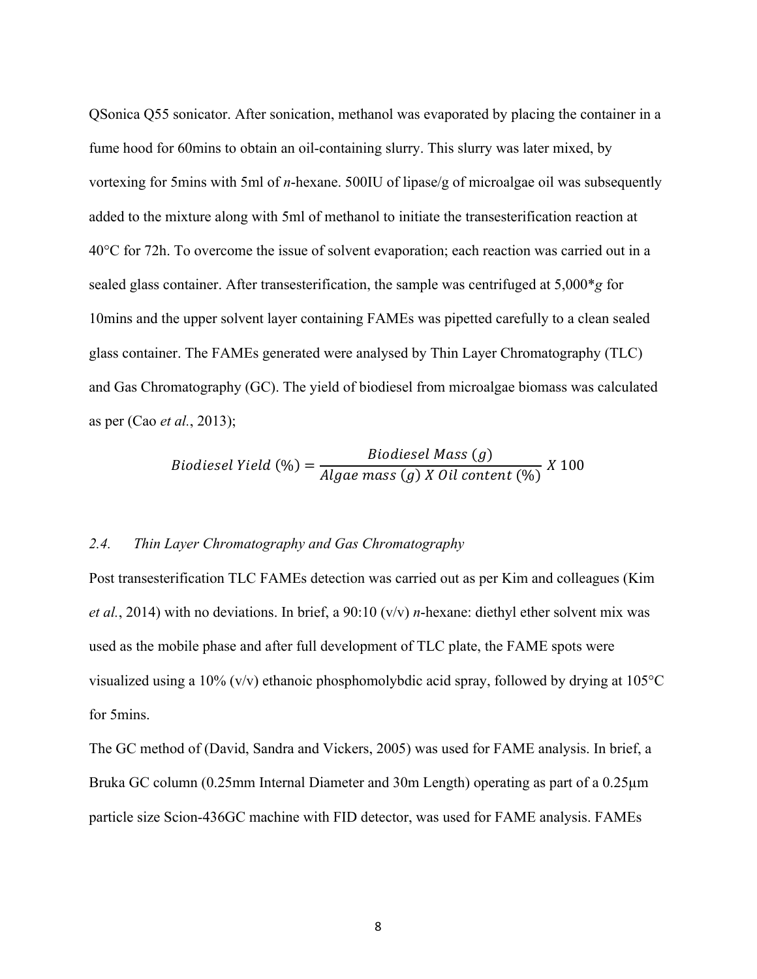QSonica Q55 sonicator. After sonication, methanol was evaporated by placing the container in a fume hood for 60mins to obtain an oil-containing slurry. This slurry was later mixed, by vortexing for 5mins with 5ml of *n*-hexane. 500IU of lipase/g of microalgae oil was subsequently added to the mixture along with 5ml of methanol to initiate the transesterification reaction at 40°C for 72h. To overcome the issue of solvent evaporation; each reaction was carried out in a sealed glass container. After transesterification, the sample was centrifuged at 5,000\**g* for 10mins and the upper solvent layer containing FAMEs was pipetted carefully to a clean sealed glass container. The FAMEs generated were analysed by Thin Layer Chromatography (TLC) and Gas Chromatography (GC). The yield of biodiesel from microalgae biomass was calculated as per (Cao *et al.*, 2013);

Biodiesel Yield (%) = 
$$
\frac{Biodiesel Mass(g)}{Algae mass(g) X Oil content (%)}
$$

#### *2.4. Thin Layer Chromatography and Gas Chromatography*

Post transesterification TLC FAMEs detection was carried out as per Kim and colleagues (Kim *et al.*, 2014) with no deviations. In brief, a 90:10 (v/v) *n*-hexane: diethyl ether solvent mix was used as the mobile phase and after full development of TLC plate, the FAME spots were visualized using a 10% (v/v) ethanoic phosphomolybdic acid spray, followed by drying at 105 $\degree$ C for 5mins.

The GC method of (David, Sandra and Vickers, 2005) was used for FAME analysis. In brief, a Bruka GC column (0.25mm Internal Diameter and 30m Length) operating as part of a 0.25µm particle size Scion-436GC machine with FID detector, was used for FAME analysis. FAMEs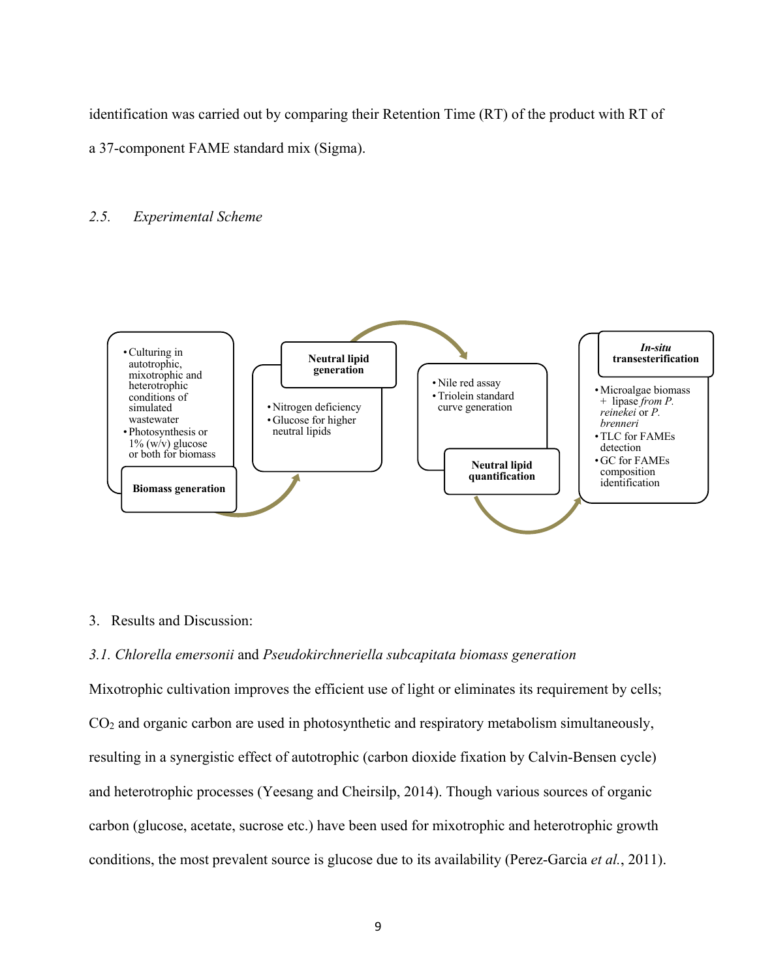identification was carried out by comparing their Retention Time (RT) of the product with RT of

a 37-component FAME standard mix (Sigma).

#### *2.5. Experimental Scheme*



#### 3. Results and Discussion:

#### *3.1. Chlorella emersonii* and *Pseudokirchneriella subcapitata biomass generation*

Mixotrophic cultivation improves the efficient use of light or eliminates its requirement by cells; CO2 and organic carbon are used in photosynthetic and respiratory metabolism simultaneously, resulting in a synergistic effect of autotrophic (carbon dioxide fixation by Calvin-Bensen cycle) and heterotrophic processes (Yeesang and Cheirsilp, 2014). Though various sources of organic carbon (glucose, acetate, sucrose etc.) have been used for mixotrophic and heterotrophic growth conditions, the most prevalent source is glucose due to its availability (Perez-Garcia *et al.*, 2011).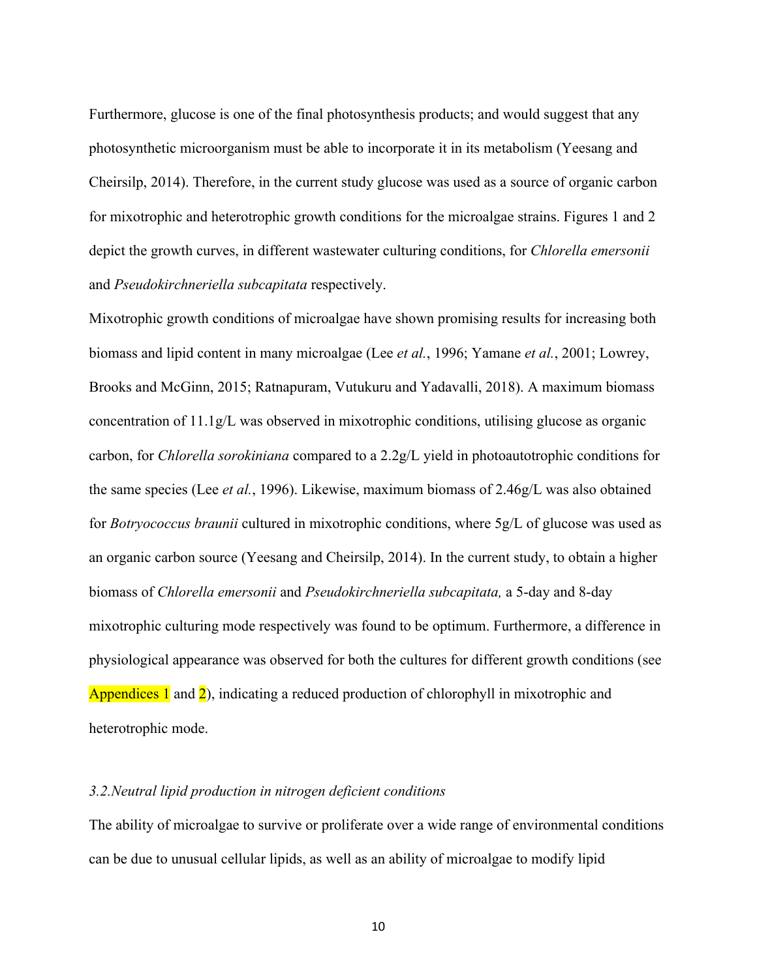Furthermore, glucose is one of the final photosynthesis products; and would suggest that any photosynthetic microorganism must be able to incorporate it in its metabolism (Yeesang and Cheirsilp, 2014). Therefore, in the current study glucose was used as a source of organic carbon for mixotrophic and heterotrophic growth conditions for the microalgae strains. Figures 1 and 2 depict the growth curves, in different wastewater culturing conditions, for *Chlorella emersonii* and *Pseudokirchneriella subcapitata* respectively.

Mixotrophic growth conditions of microalgae have shown promising results for increasing both biomass and lipid content in many microalgae (Lee *et al.*, 1996; Yamane *et al.*, 2001; Lowrey, Brooks and McGinn, 2015; Ratnapuram, Vutukuru and Yadavalli, 2018). A maximum biomass concentration of 11.1g/L was observed in mixotrophic conditions, utilising glucose as organic carbon, for *Chlorella sorokiniana* compared to a 2.2g/L yield in photoautotrophic conditions for the same species (Lee *et al.*, 1996). Likewise, maximum biomass of 2.46g/L was also obtained for *Botryococcus braunii* cultured in mixotrophic conditions, where 5g/L of glucose was used as an organic carbon source (Yeesang and Cheirsilp, 2014). In the current study, to obtain a higher biomass of *Chlorella emersonii* and *Pseudokirchneriella subcapitata,* a 5-day and 8-day mixotrophic culturing mode respectively was found to be optimum. Furthermore, a difference in physiological appearance was observed for both the cultures for different growth conditions (see Appendices 1 and 2), indicating a reduced production of chlorophyll in mixotrophic and heterotrophic mode.

#### *3.2.Neutral lipid production in nitrogen deficient conditions*

The ability of microalgae to survive or proliferate over a wide range of environmental conditions can be due to unusual cellular lipids, as well as an ability of microalgae to modify lipid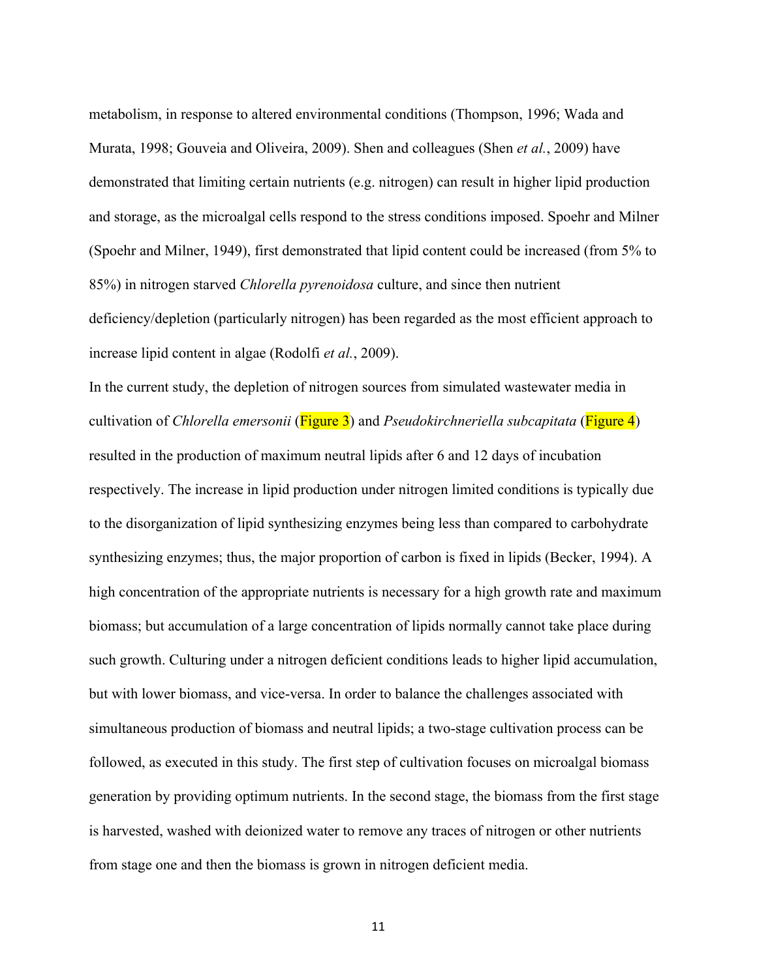metabolism, in response to altered environmental conditions (Thompson, 1996; Wada and Murata, 1998; Gouveia and Oliveira, 2009). Shen and colleagues (Shen *et al.*, 2009) have demonstrated that limiting certain nutrients (e.g. nitrogen) can result in higher lipid production and storage, as the microalgal cells respond to the stress conditions imposed. Spoehr and Milner (Spoehr and Milner, 1949), first demonstrated that lipid content could be increased (from 5% to 85%) in nitrogen starved *Chlorella pyrenoidosa* culture, and since then nutrient deficiency/depletion (particularly nitrogen) has been regarded as the most efficient approach to increase lipid content in algae (Rodolfi *et al.*, 2009).

In the current study, the depletion of nitrogen sources from simulated wastewater media in cultivation of *Chlorella emersonii* (Figure 3) and *Pseudokirchneriella subcapitata* (Figure 4) resulted in the production of maximum neutral lipids after 6 and 12 days of incubation respectively. The increase in lipid production under nitrogen limited conditions is typically due to the disorganization of lipid synthesizing enzymes being less than compared to carbohydrate synthesizing enzymes; thus, the major proportion of carbon is fixed in lipids (Becker, 1994). A high concentration of the appropriate nutrients is necessary for a high growth rate and maximum biomass; but accumulation of a large concentration of lipids normally cannot take place during such growth. Culturing under a nitrogen deficient conditions leads to higher lipid accumulation, but with lower biomass, and vice-versa. In order to balance the challenges associated with simultaneous production of biomass and neutral lipids; a two-stage cultivation process can be followed, as executed in this study. The first step of cultivation focuses on microalgal biomass generation by providing optimum nutrients. In the second stage, the biomass from the first stage is harvested, washed with deionized water to remove any traces of nitrogen or other nutrients from stage one and then the biomass is grown in nitrogen deficient media.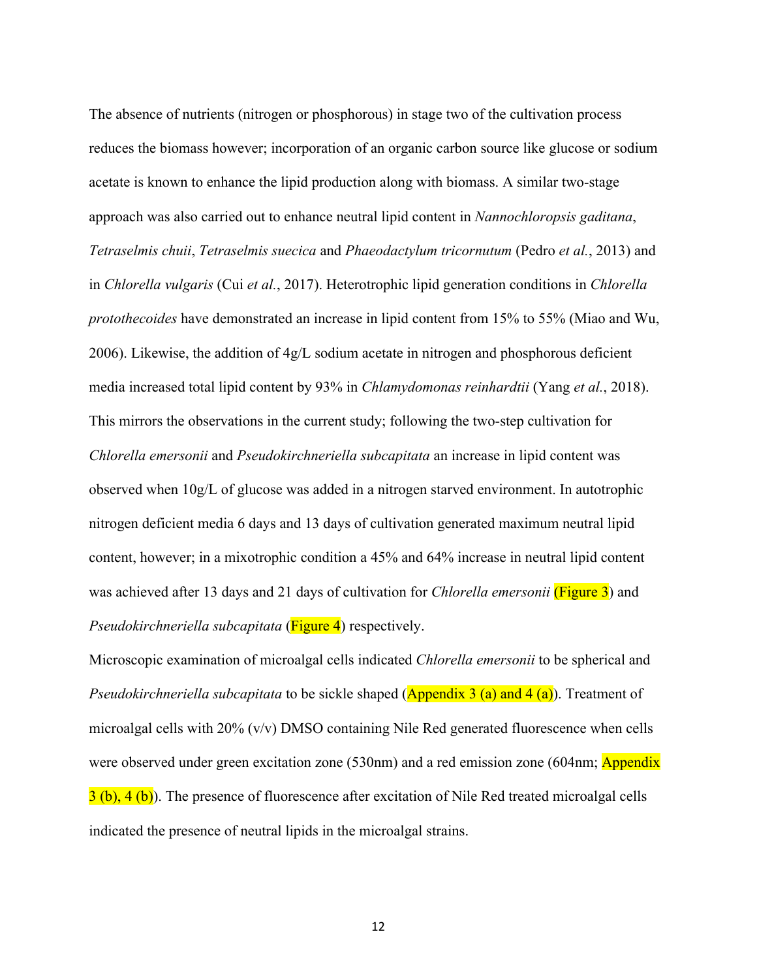The absence of nutrients (nitrogen or phosphorous) in stage two of the cultivation process reduces the biomass however; incorporation of an organic carbon source like glucose or sodium acetate is known to enhance the lipid production along with biomass. A similar two-stage approach was also carried out to enhance neutral lipid content in *Nannochloropsis gaditana*, *Tetraselmis chuii*, *Tetraselmis suecica* and *Phaeodactylum tricornutum* (Pedro *et al.*, 2013) and in *Chlorella vulgaris* (Cui *et al.*, 2017). Heterotrophic lipid generation conditions in *Chlorella protothecoides* have demonstrated an increase in lipid content from 15% to 55% (Miao and Wu, 2006). Likewise, the addition of 4g/L sodium acetate in nitrogen and phosphorous deficient media increased total lipid content by 93% in *Chlamydomonas reinhardtii* (Yang *et al.*, 2018). This mirrors the observations in the current study; following the two-step cultivation for *Chlorella emersonii* and *Pseudokirchneriella subcapitata* an increase in lipid content was observed when 10g/L of glucose was added in a nitrogen starved environment. In autotrophic nitrogen deficient media 6 days and 13 days of cultivation generated maximum neutral lipid content, however; in a mixotrophic condition a 45% and 64% increase in neutral lipid content was achieved after 13 days and 21 days of cultivation for *Chlorella emersonii* (Figure 3) and *Pseudokirchneriella subcapitata* (Figure 4) respectively.

Microscopic examination of microalgal cells indicated *Chlorella emersonii* to be spherical and *Pseudokirchneriella subcapitata* to be sickle shaped (**Appendix 3 (a) and 4 (a)**). Treatment of microalgal cells with  $20\%$  (v/v) DMSO containing Nile Red generated fluorescence when cells were observed under green excitation zone (530nm) and a red emission zone (604nm; Appendix 3 (b), 4 (b)). The presence of fluorescence after excitation of Nile Red treated microalgal cells indicated the presence of neutral lipids in the microalgal strains.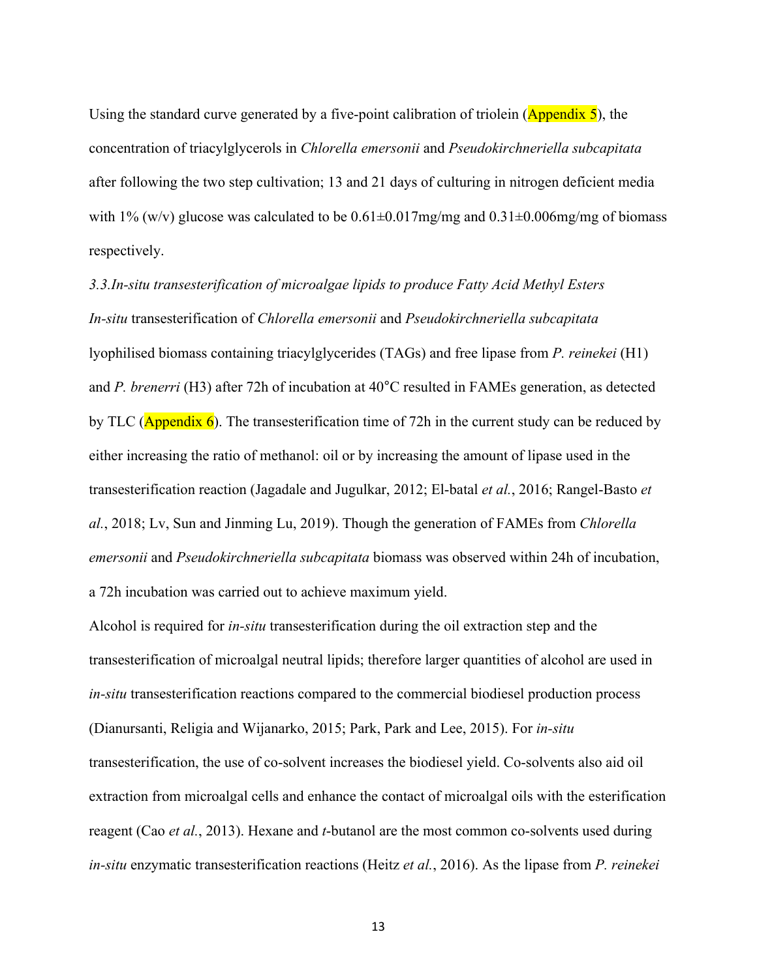Using the standard curve generated by a five-point calibration of triolein ( $\Delta$ ppendix 5), the concentration of triacylglycerols in *Chlorella emersonii* and *Pseudokirchneriella subcapitata* after following the two step cultivation; 13 and 21 days of culturing in nitrogen deficient media with 1% (w/v) glucose was calculated to be  $0.61 \pm 0.017$  mg/mg and  $0.31 \pm 0.006$  mg/mg of biomass respectively.

*3.3.In-situ transesterification of microalgae lipids to produce Fatty Acid Methyl Esters In-situ* transesterification of *Chlorella emersonii* and *Pseudokirchneriella subcapitata* lyophilised biomass containing triacylglycerides (TAGs) and free lipase from *P. reinekei* (H1) and *P. brenerri* (H3) after 72h of incubation at 40°C resulted in FAMEs generation, as detected by TLC ( $\Delta$ ppendix 6). The transesterification time of 72h in the current study can be reduced by either increasing the ratio of methanol: oil or by increasing the amount of lipase used in the transesterification reaction (Jagadale and Jugulkar, 2012; El-batal *et al.*, 2016; Rangel-Basto *et al.*, 2018; Lv, Sun and Jinming Lu, 2019). Though the generation of FAMEs from *Chlorella emersonii* and *Pseudokirchneriella subcapitata* biomass was observed within 24h of incubation, a 72h incubation was carried out to achieve maximum yield.

Alcohol is required for *in-situ* transesterification during the oil extraction step and the transesterification of microalgal neutral lipids; therefore larger quantities of alcohol are used in *in-situ* transesterification reactions compared to the commercial biodiesel production process (Dianursanti, Religia and Wijanarko, 2015; Park, Park and Lee, 2015). For *in-situ* transesterification, the use of co-solvent increases the biodiesel yield. Co-solvents also aid oil extraction from microalgal cells and enhance the contact of microalgal oils with the esterification reagent (Cao *et al.*, 2013). Hexane and *t*-butanol are the most common co-solvents used during *in-situ* enzymatic transesterification reactions (Heitz *et al.*, 2016). As the lipase from *P. reinekei*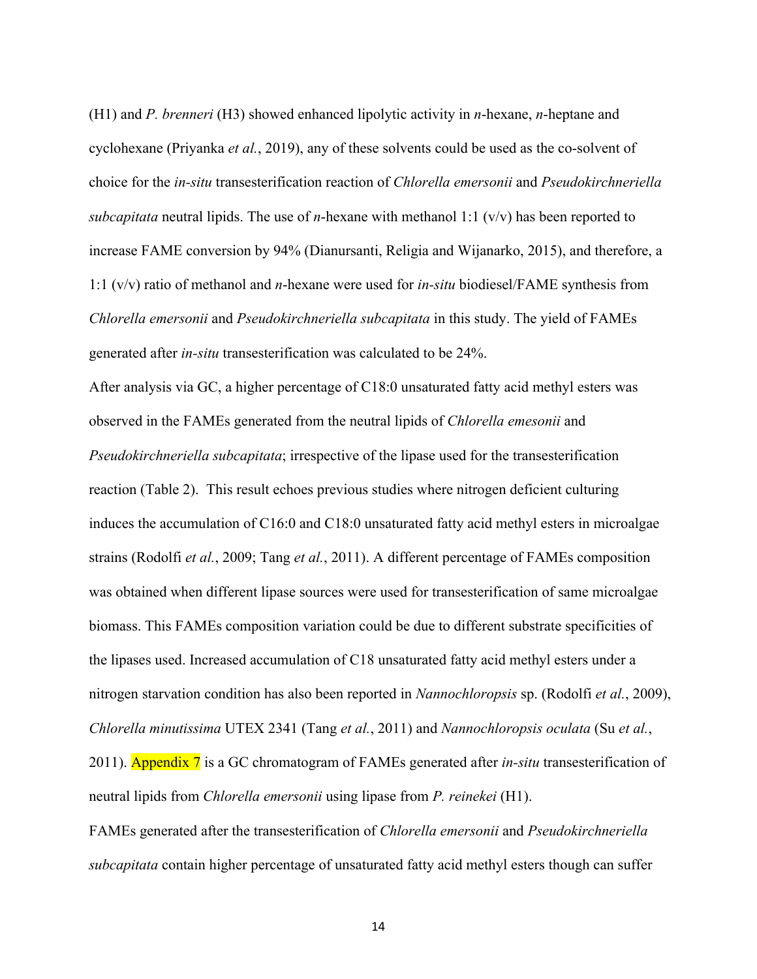(H1) and *P. brenneri* (H3) showed enhanced lipolytic activity in *n*-hexane, *n*-heptane and cyclohexane (Priyanka *et al.*, 2019), any of these solvents could be used as the co-solvent of choice for the *in-situ* transesterification reaction of *Chlorella emersonii* and *Pseudokirchneriella subcapitata* neutral lipids. The use of *n*-hexane with methanol 1:1 (v/v) has been reported to increase FAME conversion by 94% (Dianursanti, Religia and Wijanarko, 2015), and therefore, a 1:1 (v/v) ratio of methanol and *n*-hexane were used for *in-situ* biodiesel/FAME synthesis from *Chlorella emersonii* and *Pseudokirchneriella subcapitata* in this study. The yield of FAMEs generated after *in-situ* transesterification was calculated to be 24%.

After analysis via GC, a higher percentage of C18:0 unsaturated fatty acid methyl esters was observed in the FAMEs generated from the neutral lipids of *Chlorella emesonii* and *Pseudokirchneriella subcapitata*; irrespective of the lipase used for the transesterification reaction (Table 2). This result echoes previous studies where nitrogen deficient culturing induces the accumulation of C16:0 and C18:0 unsaturated fatty acid methyl esters in microalgae strains (Rodolfi *et al.*, 2009; Tang *et al.*, 2011). A different percentage of FAMEs composition was obtained when different lipase sources were used for transesterification of same microalgae biomass. This FAMEs composition variation could be due to different substrate specificities of the lipases used. Increased accumulation of C18 unsaturated fatty acid methyl esters under a nitrogen starvation condition has also been reported in *Nannochloropsis* sp. (Rodolfi *et al.*, 2009), *Chlorella minutissima* UTEX 2341 (Tang *et al.*, 2011) and *Nannochloropsis oculata* (Su *et al.*, 2011). Appendix 7 is a GC chromatogram of FAMEs generated after *in-situ* transesterification of neutral lipids from *Chlorella emersonii* using lipase from *P. reinekei* (H1).

FAMEs generated after the transesterification of *Chlorella emersonii* and *Pseudokirchneriella subcapitata* contain higher percentage of unsaturated fatty acid methyl esters though can suffer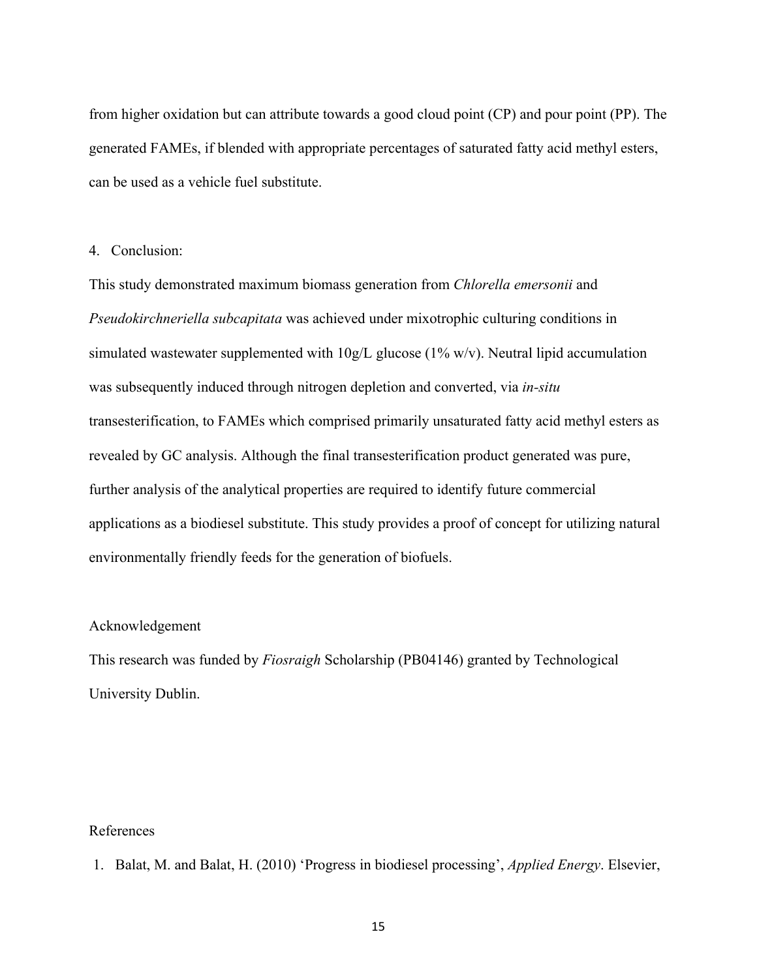from higher oxidation but can attribute towards a good cloud point (CP) and pour point (PP). The generated FAMEs, if blended with appropriate percentages of saturated fatty acid methyl esters, can be used as a vehicle fuel substitute.

#### 4. Conclusion:

This study demonstrated maximum biomass generation from *Chlorella emersonii* and *Pseudokirchneriella subcapitata* was achieved under mixotrophic culturing conditions in simulated wastewater supplemented with  $10g/L$  glucose (1% w/v). Neutral lipid accumulation was subsequently induced through nitrogen depletion and converted, via *in-situ* transesterification, to FAMEs which comprised primarily unsaturated fatty acid methyl esters as revealed by GC analysis. Although the final transesterification product generated was pure, further analysis of the analytical properties are required to identify future commercial applications as a biodiesel substitute. This study provides a proof of concept for utilizing natural environmentally friendly feeds for the generation of biofuels.

#### Acknowledgement

This research was funded by *Fiosraigh* Scholarship (PB04146) granted by Technological University Dublin.

#### References

1. Balat, M. and Balat, H. (2010) 'Progress in biodiesel processing', *Applied Energy*. Elsevier,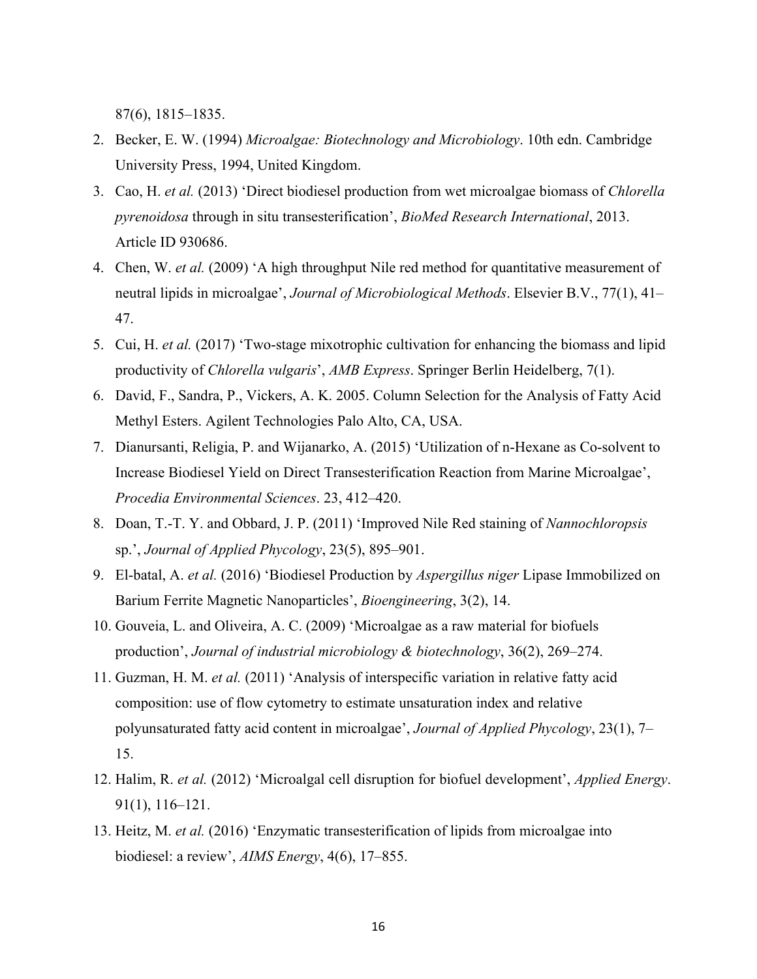87(6), 1815–1835.

- 2. Becker, E. W. (1994) *Microalgae: Biotechnology and Microbiology*. 10th edn. Cambridge University Press, 1994, United Kingdom.
- 3. Cao, H. *et al.* (2013) 'Direct biodiesel production from wet microalgae biomass of *Chlorella pyrenoidosa* through in situ transesterification', *BioMed Research International*, 2013. Article ID 930686.
- 4. Chen, W. *et al.* (2009) 'A high throughput Nile red method for quantitative measurement of neutral lipids in microalgae', *Journal of Microbiological Methods*. Elsevier B.V., 77(1), 41– 47.
- 5. Cui, H. *et al.* (2017) 'Two-stage mixotrophic cultivation for enhancing the biomass and lipid productivity of *Chlorella vulgaris*', *AMB Express*. Springer Berlin Heidelberg, 7(1).
- 6. David, F., Sandra, P., Vickers, A. K. 2005. Column Selection for the Analysis of Fatty Acid Methyl Esters. Agilent Technologies Palo Alto, CA, USA.
- 7. Dianursanti, Religia, P. and Wijanarko, A. (2015) 'Utilization of n-Hexane as Co-solvent to Increase Biodiesel Yield on Direct Transesterification Reaction from Marine Microalgae', *Procedia Environmental Sciences*. 23, 412–420.
- 8. Doan, T.-T. Y. and Obbard, J. P. (2011) 'Improved Nile Red staining of *Nannochloropsis* sp.', *Journal of Applied Phycology*, 23(5), 895–901.
- 9. El-batal, A. *et al.* (2016) 'Biodiesel Production by *Aspergillus niger* Lipase Immobilized on Barium Ferrite Magnetic Nanoparticles', *Bioengineering*, 3(2), 14.
- 10. Gouveia, L. and Oliveira, A. C. (2009) 'Microalgae as a raw material for biofuels production', *Journal of industrial microbiology & biotechnology*, 36(2), 269–274.
- 11. Guzman, H. M. *et al.* (2011) 'Analysis of interspecific variation in relative fatty acid composition: use of flow cytometry to estimate unsaturation index and relative polyunsaturated fatty acid content in microalgae', *Journal of Applied Phycology*, 23(1), 7– 15.
- 12. Halim, R. *et al.* (2012) 'Microalgal cell disruption for biofuel development', *Applied Energy*. 91(1), 116–121.
- 13. Heitz, M. *et al.* (2016) 'Enzymatic transesterification of lipids from microalgae into biodiesel: a review', *AIMS Energy*, 4(6), 17–855.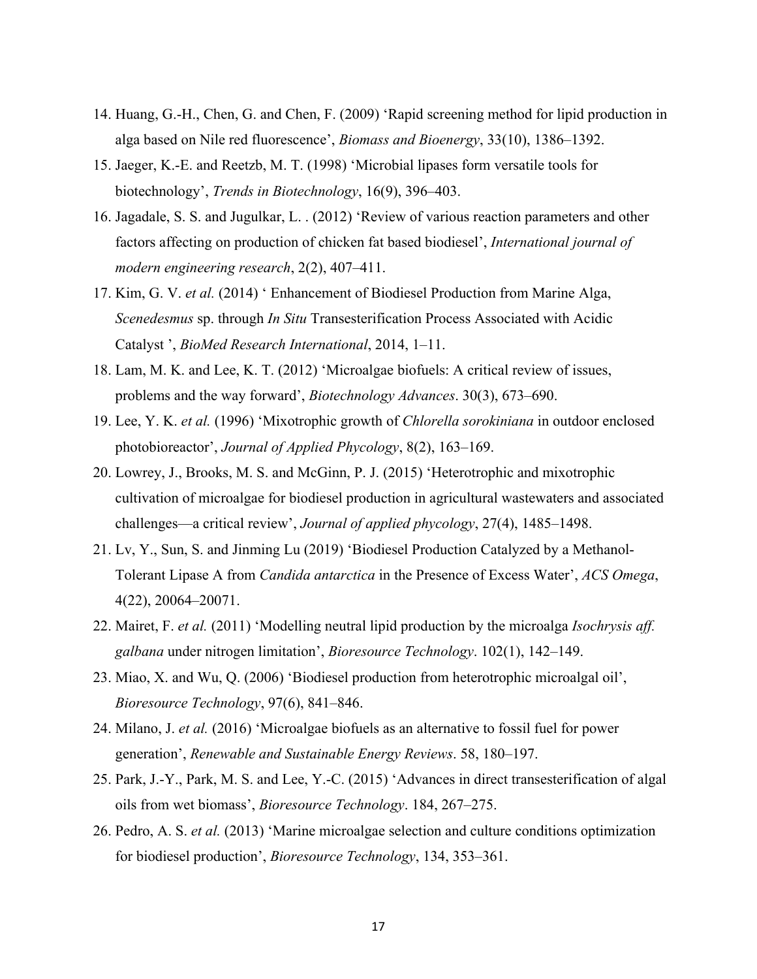- 14. Huang, G.-H., Chen, G. and Chen, F. (2009) 'Rapid screening method for lipid production in alga based on Nile red fluorescence', *Biomass and Bioenergy*, 33(10), 1386–1392.
- 15. Jaeger, K.-E. and Reetzb, M. T. (1998) 'Microbial lipases form versatile tools for biotechnology', *Trends in Biotechnology*, 16(9), 396–403.
- 16. Jagadale, S. S. and Jugulkar, L. . (2012) 'Review of various reaction parameters and other factors affecting on production of chicken fat based biodiesel', *International journal of modern engineering research*, 2(2), 407–411.
- 17. Kim, G. V. *et al.* (2014) ' Enhancement of Biodiesel Production from Marine Alga, *Scenedesmus* sp. through *In Situ* Transesterification Process Associated with Acidic Catalyst ', *BioMed Research International*, 2014, 1–11.
- 18. Lam, M. K. and Lee, K. T. (2012) 'Microalgae biofuels: A critical review of issues, problems and the way forward', *Biotechnology Advances*. 30(3), 673–690.
- 19. Lee, Y. K. *et al.* (1996) 'Mixotrophic growth of *Chlorella sorokiniana* in outdoor enclosed photobioreactor', *Journal of Applied Phycology*, 8(2), 163–169.
- 20. Lowrey, J., Brooks, M. S. and McGinn, P. J. (2015) 'Heterotrophic and mixotrophic cultivation of microalgae for biodiesel production in agricultural wastewaters and associated challenges—a critical review', *Journal of applied phycology*, 27(4), 1485–1498.
- 21. Lv, Y., Sun, S. and Jinming Lu (2019) 'Biodiesel Production Catalyzed by a Methanol-Tolerant Lipase A from *Candida antarctica* in the Presence of Excess Water', *ACS Omega*, 4(22), 20064–20071.
- 22. Mairet, F. *et al.* (2011) 'Modelling neutral lipid production by the microalga *Isochrysis aff. galbana* under nitrogen limitation', *Bioresource Technology*. 102(1), 142–149.
- 23. Miao, X. and Wu, Q. (2006) 'Biodiesel production from heterotrophic microalgal oil', *Bioresource Technology*, 97(6), 841–846.
- 24. Milano, J. *et al.* (2016) 'Microalgae biofuels as an alternative to fossil fuel for power generation', *Renewable and Sustainable Energy Reviews*. 58, 180–197.
- 25. Park, J.-Y., Park, M. S. and Lee, Y.-C. (2015) 'Advances in direct transesterification of algal oils from wet biomass', *Bioresource Technology*. 184, 267–275.
- 26. Pedro, A. S. *et al.* (2013) 'Marine microalgae selection and culture conditions optimization for biodiesel production', *Bioresource Technology*, 134, 353–361.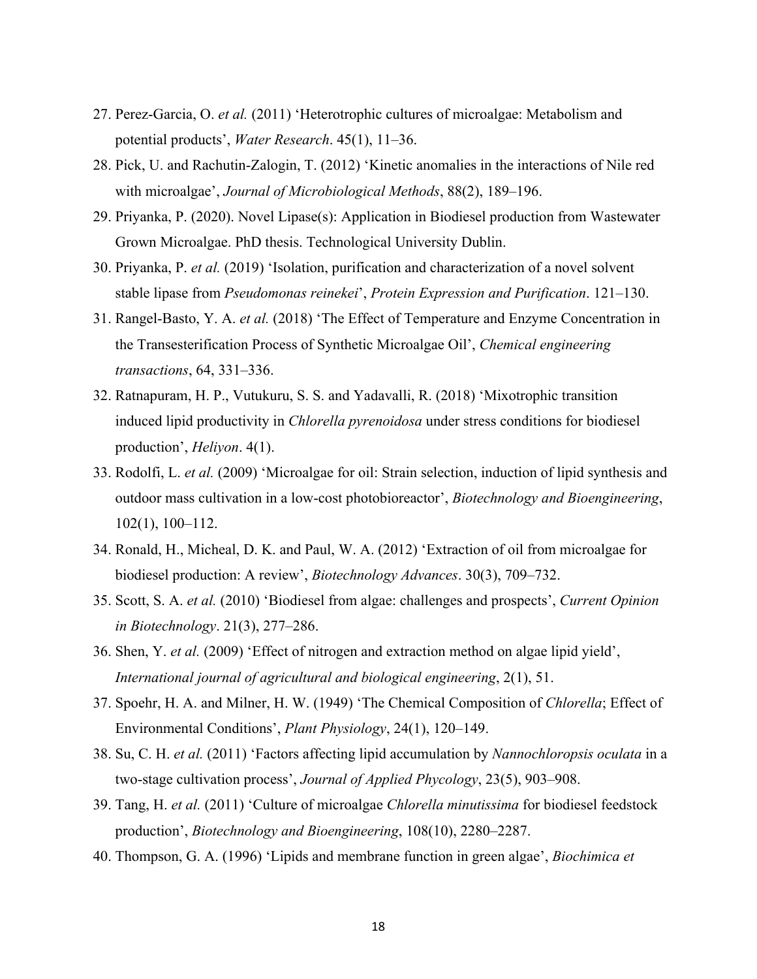- 27. Perez-Garcia, O. *et al.* (2011) 'Heterotrophic cultures of microalgae: Metabolism and potential products', *Water Research*. 45(1), 11–36.
- 28. Pick, U. and Rachutin-Zalogin, T. (2012) 'Kinetic anomalies in the interactions of Nile red with microalgae', *Journal of Microbiological Methods*, 88(2), 189–196.
- 29. Priyanka, P. (2020). Novel Lipase(s): Application in Biodiesel production from Wastewater Grown Microalgae. PhD thesis. Technological University Dublin.
- 30. Priyanka, P. *et al.* (2019) 'Isolation, purification and characterization of a novel solvent stable lipase from *Pseudomonas reinekei*', *Protein Expression and Purification*. 121–130.
- 31. Rangel-Basto, Y. A. *et al.* (2018) 'The Effect of Temperature and Enzyme Concentration in the Transesterification Process of Synthetic Microalgae Oil', *Chemical engineering transactions*, 64, 331–336.
- 32. Ratnapuram, H. P., Vutukuru, S. S. and Yadavalli, R. (2018) 'Mixotrophic transition induced lipid productivity in *Chlorella pyrenoidosa* under stress conditions for biodiesel production', *Heliyon*. 4(1).
- 33. Rodolfi, L. *et al.* (2009) 'Microalgae for oil: Strain selection, induction of lipid synthesis and outdoor mass cultivation in a low-cost photobioreactor', *Biotechnology and Bioengineering*, 102(1), 100–112.
- 34. Ronald, H., Micheal, D. K. and Paul, W. A. (2012) 'Extraction of oil from microalgae for biodiesel production: A review', *Biotechnology Advances*. 30(3), 709–732.
- 35. Scott, S. A. *et al.* (2010) 'Biodiesel from algae: challenges and prospects', *Current Opinion in Biotechnology*. 21(3), 277–286.
- 36. Shen, Y. *et al.* (2009) 'Effect of nitrogen and extraction method on algae lipid yield', *International journal of agricultural and biological engineering*, 2(1), 51.
- 37. Spoehr, H. A. and Milner, H. W. (1949) 'The Chemical Composition of *Chlorella*; Effect of Environmental Conditions', *Plant Physiology*, 24(1), 120–149.
- 38. Su, C. H. *et al.* (2011) 'Factors affecting lipid accumulation by *Nannochloropsis oculata* in a two-stage cultivation process', *Journal of Applied Phycology*, 23(5), 903–908.
- 39. Tang, H. *et al.* (2011) 'Culture of microalgae *Chlorella minutissima* for biodiesel feedstock production', *Biotechnology and Bioengineering*, 108(10), 2280–2287.
- 40. Thompson, G. A. (1996) 'Lipids and membrane function in green algae', *Biochimica et*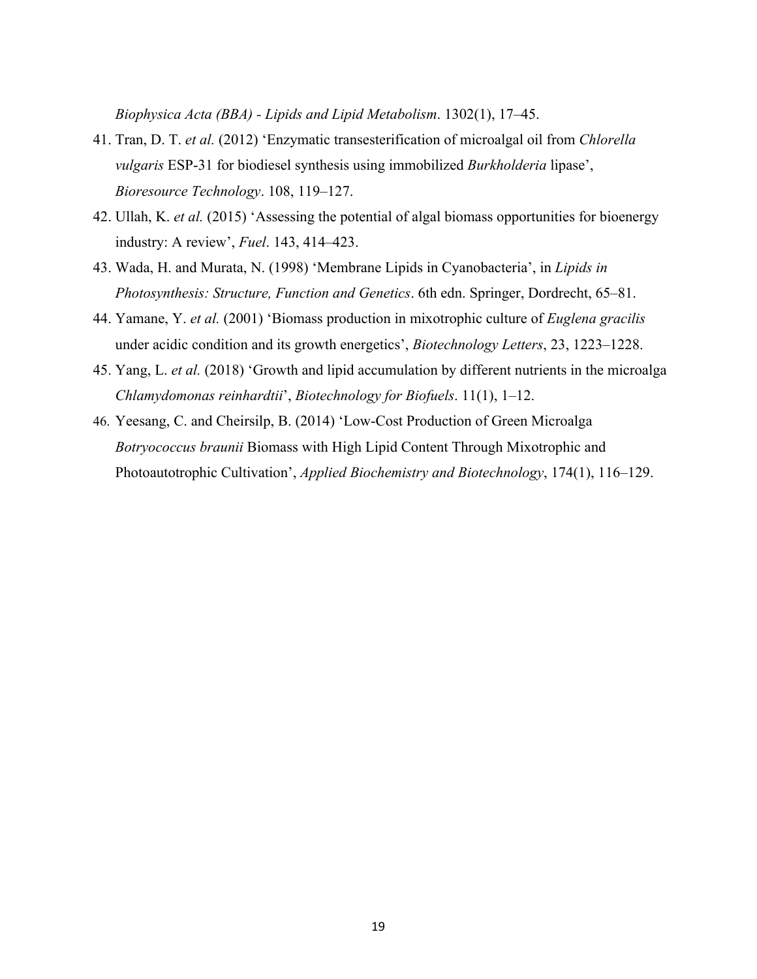*Biophysica Acta (BBA) - Lipids and Lipid Metabolism*. 1302(1), 17–45.

- 41. Tran, D. T. *et al.* (2012) 'Enzymatic transesterification of microalgal oil from *Chlorella vulgaris* ESP-31 for biodiesel synthesis using immobilized *Burkholderia* lipase', *Bioresource Technology*. 108, 119–127.
- 42. Ullah, K. *et al.* (2015) 'Assessing the potential of algal biomass opportunities for bioenergy industry: A review', *Fuel*. 143, 414–423.
- 43. Wada, H. and Murata, N. (1998) 'Membrane Lipids in Cyanobacteria', in *Lipids in Photosynthesis: Structure, Function and Genetics*. 6th edn. Springer, Dordrecht, 65–81.
- 44. Yamane, Y. *et al.* (2001) 'Biomass production in mixotrophic culture of *Euglena gracilis* under acidic condition and its growth energetics', *Biotechnology Letters*, 23, 1223–1228.
- 45. Yang, L. *et al.* (2018) 'Growth and lipid accumulation by different nutrients in the microalga *Chlamydomonas reinhardtii*', *Biotechnology for Biofuels*. 11(1), 1–12.
- 46. Yeesang, C. and Cheirsilp, B. (2014) 'Low-Cost Production of Green Microalga *Botryococcus braunii* Biomass with High Lipid Content Through Mixotrophic and Photoautotrophic Cultivation', *Applied Biochemistry and Biotechnology*, 174(1), 116–129.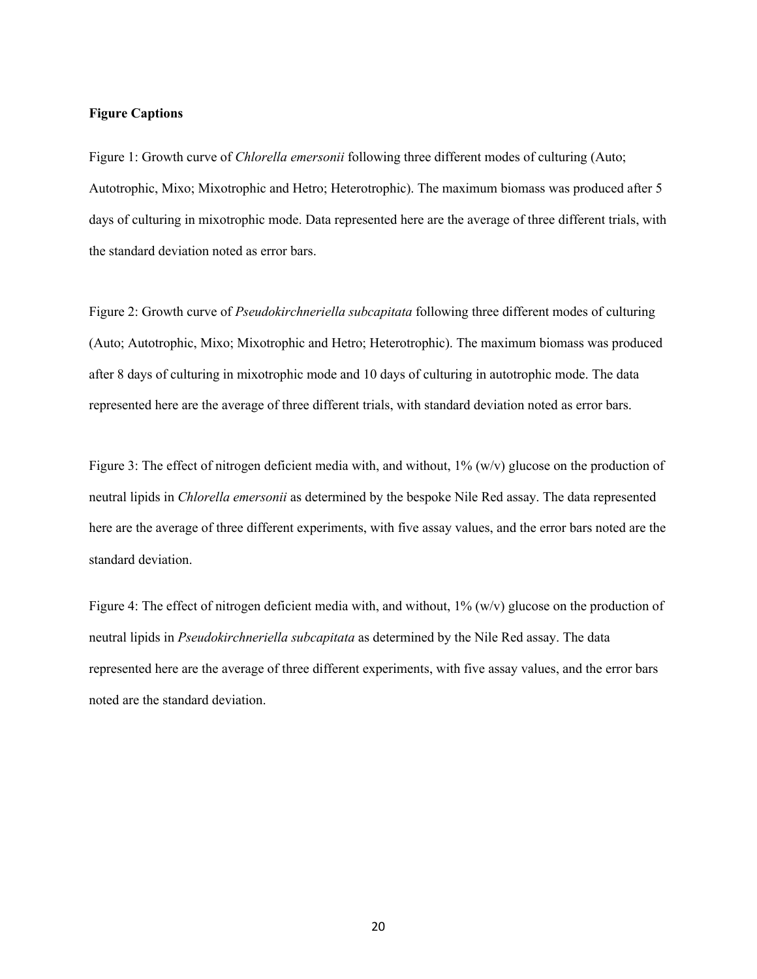#### **Figure Captions**

Figure 1: Growth curve of *Chlorella emersonii* following three different modes of culturing (Auto; Autotrophic, Mixo; Mixotrophic and Hetro; Heterotrophic). The maximum biomass was produced after 5 days of culturing in mixotrophic mode. Data represented here are the average of three different trials, with the standard deviation noted as error bars.

Figure 2: Growth curve of *Pseudokirchneriella subcapitata* following three different modes of culturing (Auto; Autotrophic, Mixo; Mixotrophic and Hetro; Heterotrophic). The maximum biomass was produced after 8 days of culturing in mixotrophic mode and 10 days of culturing in autotrophic mode. The data represented here are the average of three different trials, with standard deviation noted as error bars.

Figure 3: The effect of nitrogen deficient media with, and without,  $1\%$  (w/v) glucose on the production of neutral lipids in *Chlorella emersonii* as determined by the bespoke Nile Red assay. The data represented here are the average of three different experiments, with five assay values, and the error bars noted are the standard deviation.

Figure 4: The effect of nitrogen deficient media with, and without,  $1\%$  (w/v) glucose on the production of neutral lipids in *Pseudokirchneriella subcapitata* as determined by the Nile Red assay. The data represented here are the average of three different experiments, with five assay values, and the error bars noted are the standard deviation.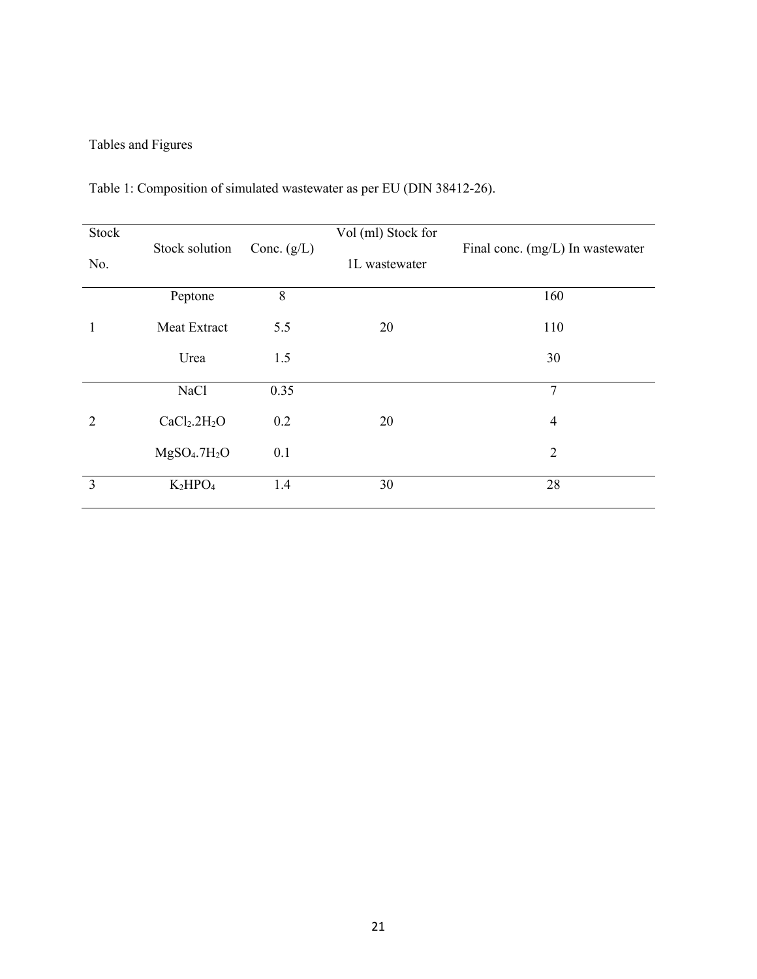# Tables and Figures

| Stock          |                                      |               | Vol (ml) Stock for | Final conc. (mg/L) In wastewater |  |  |  |
|----------------|--------------------------------------|---------------|--------------------|----------------------------------|--|--|--|
| No.            | Stock solution                       | Conc. $(g/L)$ | 1L wastewater      |                                  |  |  |  |
|                | Peptone                              | $8\,$         |                    | 160                              |  |  |  |
| 1              | Meat Extract                         | 5.5           | 20                 | 110                              |  |  |  |
|                | Urea                                 | 1.5           |                    | 30                               |  |  |  |
|                | NaCl                                 | 0.35          |                    | $\overline{7}$                   |  |  |  |
| $\overline{2}$ | CaCl <sub>2</sub> .2H <sub>2</sub> O | 0.2           | 20                 | $\overline{4}$                   |  |  |  |
|                | MgSO <sub>4</sub> .7H <sub>2</sub> O | 0.1           |                    | $\overline{2}$                   |  |  |  |
| 3              | $K_2HPO_4$                           | 1.4           | 30                 | 28                               |  |  |  |

Table 1: Composition of simulated wastewater as per EU (DIN 38412-26).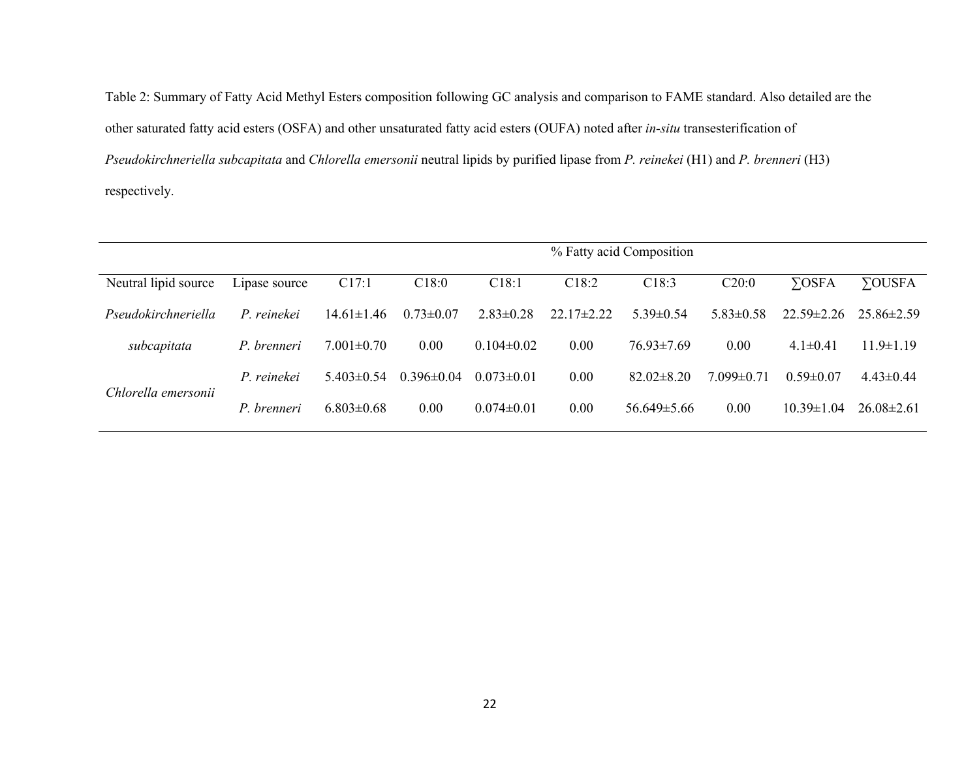Table 2: Summary of Fatty Acid Methyl Esters composition following GC analysis and comparison to FAME standard. Also detailed are the other saturated fatty acid esters (OSFA) and other unsaturated fatty acid esters (OUFA) noted after *in-situ* transesterification of *Pseudokirchneriella subcapitata* and *Chlorella emersonii* neutral lipids by purified lipase from *P. reinekei* (H1) and *P. brenneri* (H3) respectively.

|                      |               | % Fatty acid Composition |                 |                  |                   |                   |                |                  |                  |  |  |
|----------------------|---------------|--------------------------|-----------------|------------------|-------------------|-------------------|----------------|------------------|------------------|--|--|
| Neutral lipid source | Lipase source | C17:1                    | C18:0           | C18:1            | C <sub>18:2</sub> | C18:3             | C20:0          | $\Sigma$ OSFA    | <b>YOUSFA</b>    |  |  |
| Pseudokirchneriella  | P. reinekei   | $14.61 \pm 1.46$         | $0.73 \pm 0.07$ | $2.83 \pm 0.28$  | $22.17 \pm 2.22$  | $5.39 \pm 0.54$   | $5.83\pm0.58$  | $22.59 \pm 2.26$ | $25.86\pm2.59$   |  |  |
| subcapitata          | P. brenneri   | $7.001 \pm 0.70$         | 0.00            | $0.104 \pm 0.02$ | 0.00              | $76.93 \pm 7.69$  | 0.00           | $4.1 \pm 0.41$   | $11.9 \pm 1.19$  |  |  |
| Chlorella emersonii  | P reinekei    | $5.403\pm0.54$           | $0.396\pm0.04$  | $0.073 \pm 0.01$ | 0.00              | $82.02 \pm 8.20$  | $7.099\pm0.71$ | $0.59 \pm 0.07$  | $4.43 \pm 0.44$  |  |  |
|                      | P. brenneri   | $6.803 \pm 0.68$         | 0.00            | $0.074 \pm 0.01$ | 0.00              | $56.649 \pm 5.66$ | 0.00           | $10.39 \pm 1.04$ | $26.08 \pm 2.61$ |  |  |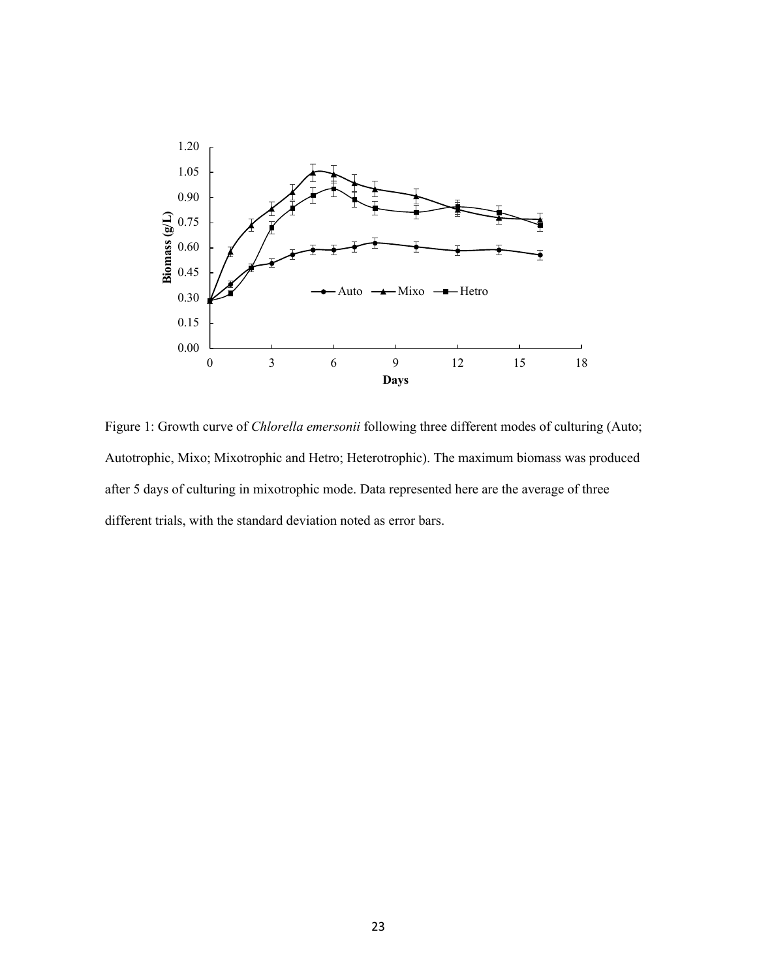

Figure 1: Growth curve of *Chlorella emersonii* following three different modes of culturing (Auto; Autotrophic, Mixo; Mixotrophic and Hetro; Heterotrophic). The maximum biomass was produced after 5 days of culturing in mixotrophic mode. Data represented here are the average of three different trials, with the standard deviation noted as error bars.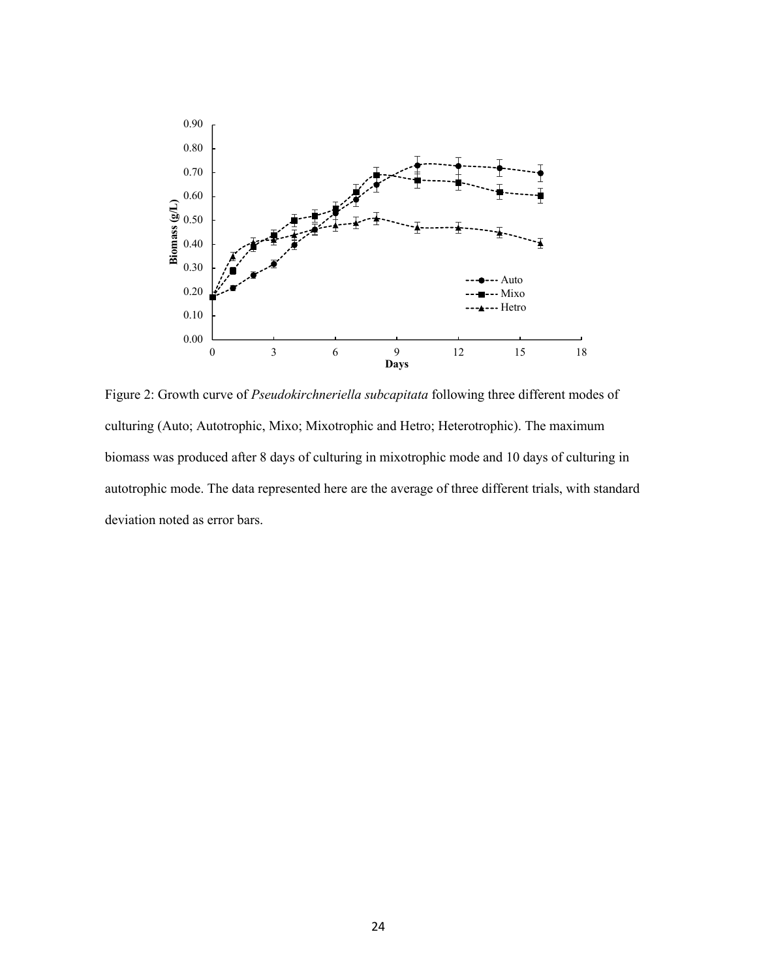

Figure 2: Growth curve of *Pseudokirchneriella subcapitata* following three different modes of culturing (Auto; Autotrophic, Mixo; Mixotrophic and Hetro; Heterotrophic). The maximum biomass was produced after 8 days of culturing in mixotrophic mode and 10 days of culturing in autotrophic mode. The data represented here are the average of three different trials, with standard deviation noted as error bars.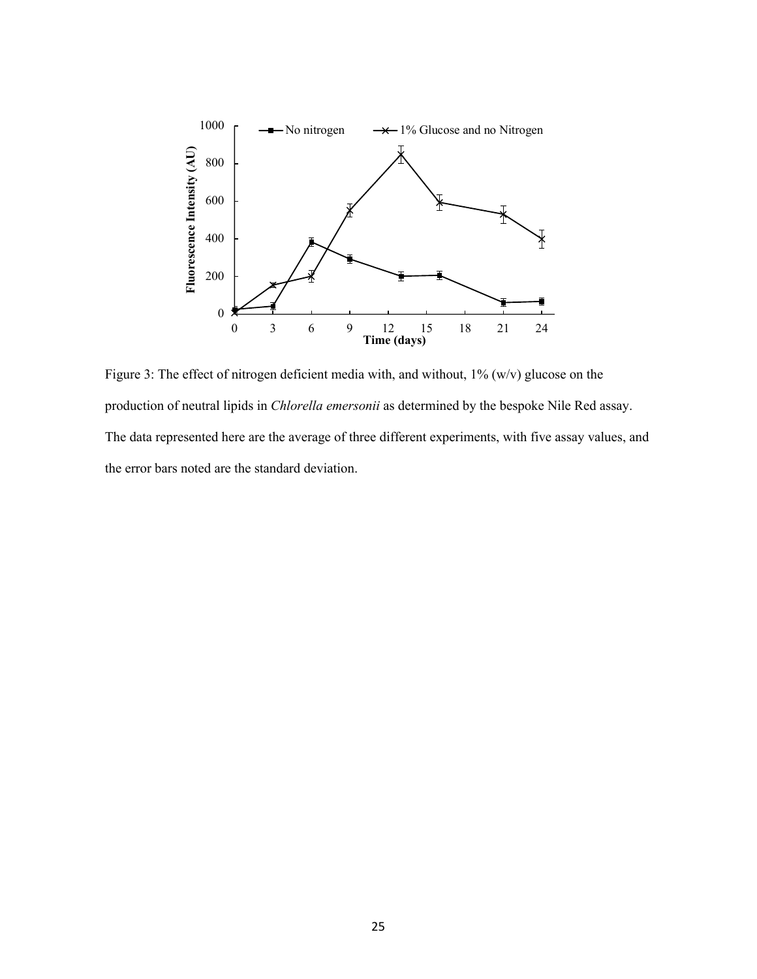

Figure 3: The effect of nitrogen deficient media with, and without, 1% (w/v) glucose on the production of neutral lipids in *Chlorella emersonii* as determined by the bespoke Nile Red assay. The data represented here are the average of three different experiments, with five assay values, and the error bars noted are the standard deviation.